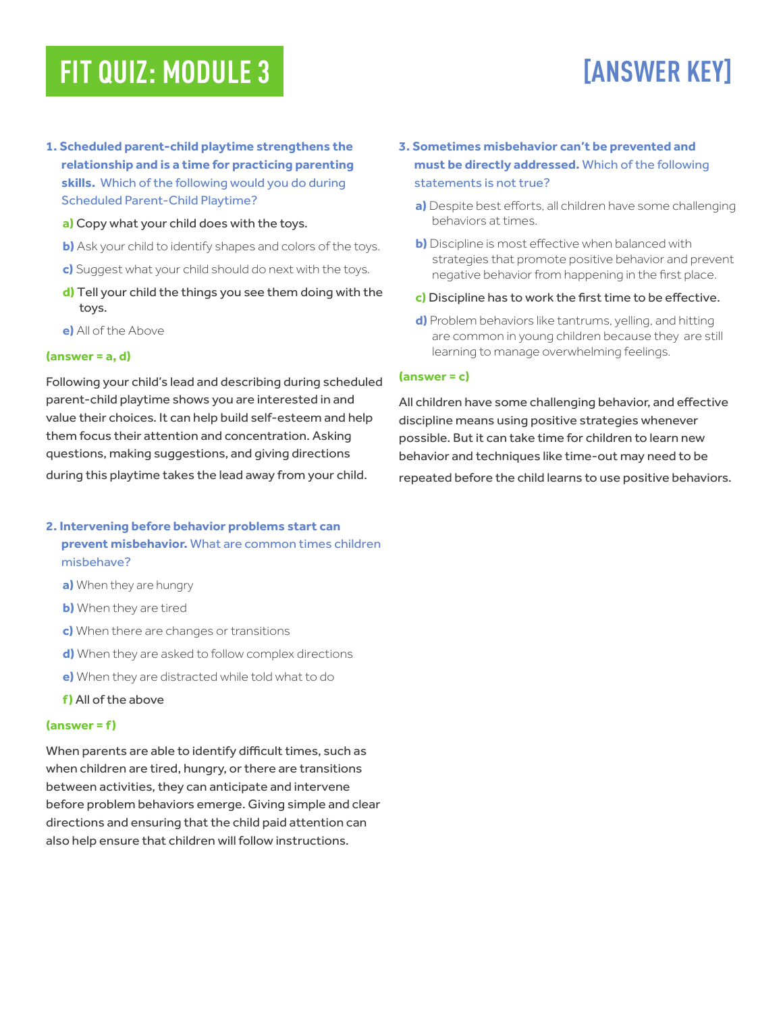## **FIT QUIZ: MODULE 3**

# **[ANSWER KEY]**

- **1. Scheduled parent-child playtime strengthens the relationship and is a time for practicing parenting skills.** Which of the following would you do during Scheduled Parent-Child Playtime?
	- **a)** Copy what your child does with the toys.
	- **b)** Ask your child to identify shapes and colors of the toys.
	- **c)** Suggest what your child should do next with the toys.
	- **d)** Tell your child the things you see them doing with the toys.
	- **e)** All of the Above

#### **(answer = a, d)**

Following your child's lead and describing during scheduled parent-child playtime shows you are interested in and value their choices. It can help build self-esteem and help them focus their attention and concentration. Asking questions, making suggestions, and giving directions during this playtime takes the lead away from your child.

### **2. Intervening before behavior problems start can prevent misbehavior.** What are common times children misbehave?

- **a)** When they are hungry
- **b)** When they are tired
- **c)** When there are changes or transitions
- **d)** When they are asked to follow complex directions
- **e)** When they are distracted while told what to do
- **f )** All of the above

#### **(answer = f )**

When parents are able to identify difficult times, such as when children are tired, hungry, or there are transitions between activities, they can anticipate and intervene before problem behaviors emerge. Giving simple and clear directions and ensuring that the child paid attention can also help ensure that children will follow instructions.

- **3. Sometimes misbehavior can't be prevented and must be directly addressed.** Which of the following statements is not true?
	- **a)** Despite best efforts, all children have some challenging behaviors at times.
	- **b)** Discipline is most effective when balanced with strategies that promote positive behavior and prevent negative behavior from happening in the first place.
	- **c)** Discipline has to work the first time to be effective.
	- **d)** Problem behaviors like tantrums, yelling, and hitting are common in young children because they are still learning to manage overwhelming feelings.

#### **(answer = c)**

All children have some challenging behavior, and effective discipline means using positive strategies whenever possible. But it can take time for children to learn new behavior and techniques like time-out may need to be repeated before the child learns to use positive behaviors.